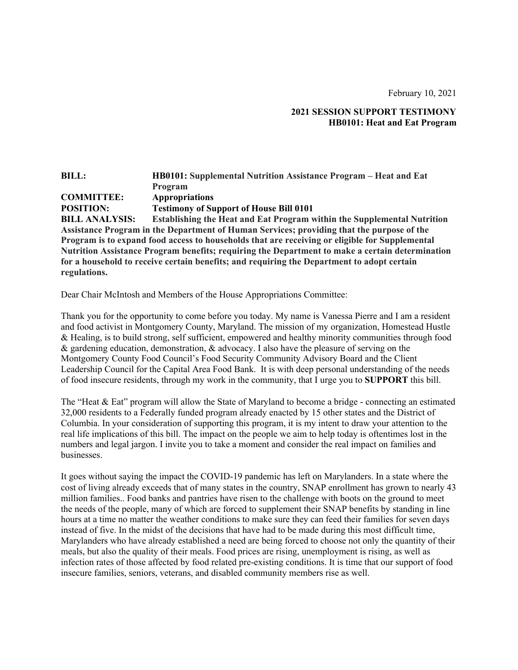February 10, 2021

## **2021 SESSION SUPPORT TESTIMONY HB0101: Heat and Eat Program**

## **BILL: HB0101: Supplemental Nutrition Assistance Program – Heat and Eat Program COMMITTEE: Appropriations POSITION: Testimony of Support of House Bill 0101 BILL ANALYSIS: Establishing the Heat and Eat Program within the Supplemental Nutrition Assistance Program in the Department of Human Services; providing that the purpose of the Program is to expand food access to households that are receiving or eligible for Supplemental Nutrition Assistance Program benefits; requiring the Department to make a certain determination for a household to receive certain benefits; and requiring the Department to adopt certain regulations.**

Dear Chair McIntosh and Members of the House Appropriations Committee:

Thank you for the opportunity to come before you today. My name is Vanessa Pierre and I am a resident and food activist in Montgomery County, Maryland. The mission of my organization, Homestead Hustle & Healing, is to build strong, self sufficient, empowered and healthy minority communities through food & gardening education, demonstration, & advocacy. I also have the pleasure of serving on the Montgomery County Food Council's Food Security Community Advisory Board and the Client Leadership Council for the Capital Area Food Bank. It is with deep personal understanding of the needs of food insecure residents, through my work in the community, that I urge you to **SUPPORT** this bill.

The "Heat & Eat" program will allow the State of Maryland to become a bridge - connecting an estimated 32,000 residents to a Federally funded program already enacted by 15 other states and the District of Columbia. In your consideration of supporting this program, it is my intent to draw your attention to the real life implications of this bill. The impact on the people we aim to help today is oftentimes lost in the numbers and legal jargon. I invite you to take a moment and consider the real impact on families and businesses.

It goes without saying the impact the COVID-19 pandemic has left on Marylanders. In a state where the cost of living already exceeds that of many states in the country, SNAP enrollment has grown to nearly 43 million families.. Food banks and pantries have risen to the challenge with boots on the ground to meet the needs of the people, many of which are forced to supplement their SNAP benefits by standing in line hours at a time no matter the weather conditions to make sure they can feed their families for seven days instead of five. In the midst of the decisions that have had to be made during this most difficult time, Marylanders who have already established a need are being forced to choose not only the quantity of their meals, but also the quality of their meals. Food prices are rising, unemployment is rising, as well as infection rates of those affected by food related pre-existing conditions. It is time that our support of food insecure families, seniors, veterans, and disabled community members rise as well.